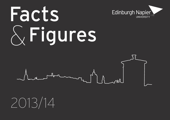# Facts &Figures



Edinburgh Napier

UNIVERSITY

2013/14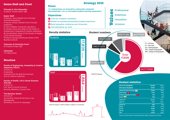#### **Senior Staff and Court**

**Principal & Vice-Chancellor**  Professor Andrea Nolan OBE

#### **Senior Staff**

Professor John Duffield (Vice Principal Internationalisation) Professor Alistair Sambell (Vice Principal Academic) Dr Gerry Webber (University Secretary) Dr Sandra Cairncross (Dean of the Faulty of Engineering, Computing & Creative Industries) Mr Iain McIntosh (Dean of the Faculty of Health, Life & Social Sciences) Professor George Stonehouse (Dean of the Business School)

**Chairman of University Court**

Dr Graham Forbes CBE

#### **Chancellor**

Tim Waterstone

#### **Structure**

#### **Faculty of Engineering, Computing & Creative Industries (FECCI)** Schools of: Computing Engineering & the Built Environment

Arts & Creative Industries

#### **Faculty of Health, Life & Social Sciences (FHLSS)**

Schools of: Life, Sport & Social Sciences Nursing, Midwifery & Social Care

#### **The Business School**

Schools of: Accounting, Financial Services & Law Management Marketing, Tourism & Languages

### **Strategy 2020**

#### "An **enterprising** and **innovative community renowned internationally**, with an **unrivalled student learning experience**."

#### **Objectives**

**Students** 

**Vision**

Grow our academic reputation

5<br>5530<br><sup>เลด</sup>์ ω

ω  $\infty$ ω (21%)

FECCI

FECCI

FHLSS

7,605 (42.5%)

 $\mathsf{N}$ 4 ហ (13%)

FHLSS

 $\overline{\mathtt{w}}$ 

usiness School

Business School

**Staff** 

- Deliver an excellent personalised student experience
- **Build innovation, enterprise and citizenship**
- *<u>Oulnternationalise our</u>* work



**LA** Professional

Ambitious

Innovative **V**<br> **Value Ambitiou**<br> **Innovative**<br> **Inclusive** 

\*Figures include students studying Edinburgh Napier programmes overseas.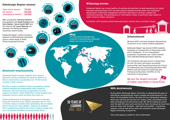#### **Edinburgh Napier alumni**

Total active alumni: **78,102** UK alumni: **55,052** International alumni: **23,050**

BBC broadcaster **Catriona Shearer**, photographers **Dr David Eustace** and **Colin Baxter**, **Tavish Scott MSP** and film director **Dr Lynne Ramsay** are amongst the Edinburgh Napier University alumni family.

Edinburgh Napier confers honorary degrees on distinguished individuals across a wide range of fields. Those recognised include:

**Sir**

**<sup>S</sup>ea<sup>n</sup> <sup>C</sup>onner<sup>y</sup>**

## **Graduate employability**

Edinburgh Napier provides students with industry informed courses combining the optimum balance of theory and practice, so graduates can 'hit the ground running' in their careers.

**Sir**

**n**

 $T \circ m$ 

**<sup>J</sup>acki<sup>e</sup> <sup>S</sup>tew<sup>a</sup>**

**rt**

 $D$ **f**  $N$ *i***<sub>***a***</sub>** 

**Prof**

**n e r**

**Dr C**

We offer a unique Confident Futures programme, helping students develop the employability skills sought by employers. We have devised a programme of events, support and advice called 'Stand Out' to help students and graduates secure a great job when they leave us.

HESA's Employment of Graduates Performance Indicator shows 92.3 percent of our 2011/12 graduates were in work or further study six months after graduating. We are ranked third in the UK for Value Added, a measure of students' entry qualifications against the honours degree results they go on to achieve (Guardian University Guide 2013).





**myre**

#### **Widening access**

Edinburgh Napier has a long tradition of working with partners to build aspirations for higher education amongst those from low participation neighbourhoods and/or non-traditional backgrounds. Community engagement activities take place in schools, colleges and community settings. The development of 'articulation routes' in particular have helped to widen access to higher education.

In 2012/13, 1,271 students joined Edinburgh Napier directly from a Scottish College.

#### **Map**

50 YEARS OF

LEARNING 1964- 2014

The map below illustrates the locations of partnerships Edinburgh Napier has across the world.

#### **International**

We have 5,517 overseas students representing 31 percent of our overall student population.

UNIVERSITY

Edinburgh Napier has around 3,900 students studying our programmes in Hong Kong, India and in Singapore. At our international graduation ceremonies over 1,200 students were awarded Edinburgh Napier degrees.

The University has been active in Hong Kong for over 20 years and enjoys successful partnerships with Hong Kong University School of Professional and Continuing Education (HKU SPACE) and the School of Continuing and Professional Education (SCOPE) at City University of Hong Kong.

#### We are the largest provider of higher education in Hong Kong.

#### **50th Anniversary**

During 2014, Edinburgh Napier University is celebrating 50 years of learning by recognising key events, people and achievements in our short yet remarkable history. We have set up a designated webpage where you will find stories from our history, news, and details of our plans throughout the anniversary year. We will be looking at events over the past 50 years and covering the many successes we have been lucky to share with students - both past and present - in business, industry, science and all the other key education areas Edinburgh Napier University is known for.

Visit www.napier.ac.uk/50 for more information.